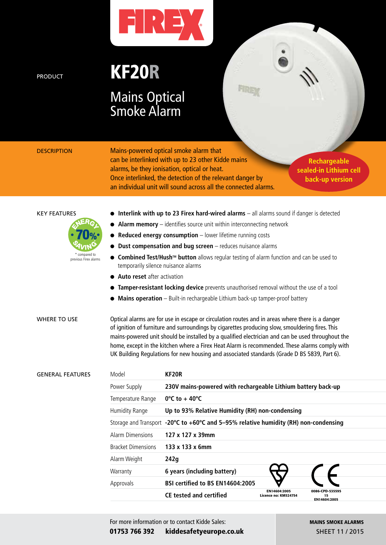

PRODUCT **KF20R** 

## Mains Optical Smoke Alarm

DESCRIPTION Mains-powered optical smoke alarm that can be interlinked with up to 23 other Kidde mains alarms, be they ionisation, optical or heat. Once interlinked, the detection of the relevant danger by an individual unit will sound across all the connected alarms.

**Rechargeable sealed-in Lithium cell back-up version**

 $\ddot{\bullet}$  ,

KEY FEATURES **Interlink with up to 23 Firex hard-wired alarms** – all alarms sound if danger is detected



- **Alarm memory** identifies source unit within interconnecting network
- **Reduced energy consumption** lower lifetime running costs
- **Dust compensation and bug screen** reduces nuisance alarms
- **. Combined Test/Hush™ button** allows regular testing of alarm function and can be used to temporarily silence nuisance alarms
- **Auto reset** after activation
- **Tamper-resistant locking device** prevents unauthorised removal without the use of a tool
- **Mains operation** Built-in rechargeable Lithium back-up tamper-proof battery

WHERE TO USE Optical alarms are for use in escape or circulation routes and in areas where there is a danger of ignition of furniture and surroundings by cigarettes producing slow, smouldering fires. This mains-powered unit should be installed by a qualified electrician and can be used throughout the home, except in the kitchen where a Firex Heat Alarm is recommended. These alarms comply with UK Building Regulations for new housing and associated standards (Grade D BS 5839, Part 6).

| <b>GENERAL FEATURES</b> | Model                     | KF <sub>20</sub> R                                                                                     |                                      |                                       |  |
|-------------------------|---------------------------|--------------------------------------------------------------------------------------------------------|--------------------------------------|---------------------------------------|--|
|                         | Power Supply              | 230V mains-powered with rechargeable Lithium battery back-up                                           |                                      |                                       |  |
|                         | Temperature Range         | $0^{\circ}$ C to + 40 $^{\circ}$ C                                                                     |                                      |                                       |  |
|                         | Humidity Range            | Up to 93% Relative Humidity (RH) non-condensing                                                        |                                      |                                       |  |
|                         |                           | Storage and Transport $-20^{\circ}C$ to $+60^{\circ}C$ and 5-95% relative humidity (RH) non-condensing |                                      |                                       |  |
|                         | Alarm Dimensions          | 127 x 127 x 39mm                                                                                       |                                      |                                       |  |
|                         | <b>Bracket Dimensions</b> | 133 x 133 x 6mm                                                                                        |                                      |                                       |  |
|                         | Alarm Weight              | 242g                                                                                                   |                                      |                                       |  |
|                         | Warranty                  | 6 years (including battery)                                                                            |                                      |                                       |  |
|                         | Approvals                 | BSI certified to BS EN14604:2005                                                                       |                                      |                                       |  |
|                         |                           | <b>CE tested and certified</b>                                                                         | EN14604:2005<br>Licence no: KM524754 | 0086-CPD-535595<br>15<br>EN14604:2005 |  |
|                         |                           |                                                                                                        |                                      |                                       |  |

For more information or to contact Kidde Sales: 01753 766 392 kiddesafetyeurope.co.uk MAINS SMOKE ALARMS SHEET 11 / 2015